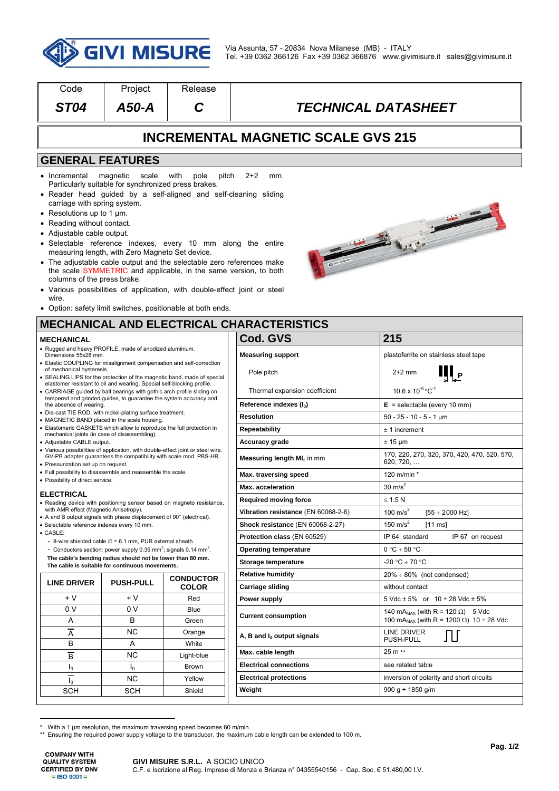

| Code                                                                                                                                                                                                                                                                                                                                      | Project                                                                                                                      | Release                                                                                                                                                                                                                                                                                                                                                                                                                                            |  |                                                                         |                                                                                                                     |  |  |  |  |
|-------------------------------------------------------------------------------------------------------------------------------------------------------------------------------------------------------------------------------------------------------------------------------------------------------------------------------------------|------------------------------------------------------------------------------------------------------------------------------|----------------------------------------------------------------------------------------------------------------------------------------------------------------------------------------------------------------------------------------------------------------------------------------------------------------------------------------------------------------------------------------------------------------------------------------------------|--|-------------------------------------------------------------------------|---------------------------------------------------------------------------------------------------------------------|--|--|--|--|
| <b>ST04</b>                                                                                                                                                                                                                                                                                                                               | A50-A                                                                                                                        | C                                                                                                                                                                                                                                                                                                                                                                                                                                                  |  | <b>TECHNICAL DATASHEET</b>                                              |                                                                                                                     |  |  |  |  |
| <b>INCREMENTAL MAGNETIC SCALE GVS 215</b>                                                                                                                                                                                                                                                                                                 |                                                                                                                              |                                                                                                                                                                                                                                                                                                                                                                                                                                                    |  |                                                                         |                                                                                                                     |  |  |  |  |
| <b>GENERAL FEATURES</b>                                                                                                                                                                                                                                                                                                                   |                                                                                                                              |                                                                                                                                                                                                                                                                                                                                                                                                                                                    |  |                                                                         |                                                                                                                     |  |  |  |  |
| • Incremental<br>carriage with spring system.<br>• Resolutions up to 1 $\mu$ m.<br>• Reading without contact.<br>• Adjustable cable output.<br>columns of the press brake.<br>wire.                                                                                                                                                       | magnetic<br>scale<br>Particularly suitable for synchronized press brakes.<br>measuring length, with Zero Magneto Set device. | with<br>pole<br>pitch<br>• Reader head guided by a self-aligned and self-cleaning sliding<br>• Selectable reference indexes, every 10 mm along the entire<br>• The adjustable cable output and the selectable zero references make<br>the scale SYMMETRIC and applicable, in the same version, to both<br>• Various possibilities of application, with double-effect joint or steel<br>• Option: safety limit switches, positionable at both ends. |  | $2+2$<br>mm.                                                            |                                                                                                                     |  |  |  |  |
|                                                                                                                                                                                                                                                                                                                                           |                                                                                                                              |                                                                                                                                                                                                                                                                                                                                                                                                                                                    |  | <b>MECHANICAL AND ELECTRICAL CHARACTERISTICS</b>                        |                                                                                                                     |  |  |  |  |
| <b>MECHANICAL</b>                                                                                                                                                                                                                                                                                                                         |                                                                                                                              |                                                                                                                                                                                                                                                                                                                                                                                                                                                    |  | Cod. GVS                                                                | 215                                                                                                                 |  |  |  |  |
| • Rugged and heavy PROFILE, made of anodized aluminium.<br>Dimensions 55x28 mm.<br>• Elastic COUPLING for misalignment compensation and self-correction<br>of mechanical hysteresis.<br>• SEALING LIPS for the protection of the magnetic band, made of special<br>elastomer resistant to oil and wearing. Special self-blocking profile. |                                                                                                                              |                                                                                                                                                                                                                                                                                                                                                                                                                                                    |  | <b>Measuring support</b><br>Pole pitch<br>Thermal expansion coefficient | plastoferrite on stainless steel tape<br>$2+2$ mm<br>II <sub>Р</sub><br>$10.6 \times 10^{-6}$ °C <sup>-1</sup>      |  |  |  |  |
| • CARRIAGE guided by ball bearings with gothic arch profile sliding on<br>tempered and grinded guides, to guarantee the system accuracy and                                                                                                                                                                                               |                                                                                                                              |                                                                                                                                                                                                                                                                                                                                                                                                                                                    |  |                                                                         | $E =$ selectable (every 10 mm)                                                                                      |  |  |  |  |
| the absence of wearing.<br>• Die-cast TIE ROD, with nickel-plating surface treatment.                                                                                                                                                                                                                                                     |                                                                                                                              |                                                                                                                                                                                                                                                                                                                                                                                                                                                    |  | Reference indexes (I <sub>0</sub> )<br><b>Resolution</b>                |                                                                                                                     |  |  |  |  |
| • MAGNETIC BAND placed in the scale housing.                                                                                                                                                                                                                                                                                              |                                                                                                                              |                                                                                                                                                                                                                                                                                                                                                                                                                                                    |  |                                                                         | $50 - 25 - 10 - 5 - 1$ µm                                                                                           |  |  |  |  |
| • Elastomeric GASKETS which allow to reproduce the full protection in<br>mechanical joints (in case of disassembling).                                                                                                                                                                                                                    |                                                                                                                              |                                                                                                                                                                                                                                                                                                                                                                                                                                                    |  | <b>Repeatability</b>                                                    | $± 1$ increment                                                                                                     |  |  |  |  |
| • Adjustable CABLE output.<br>• Various possibilities of application, with double-effect joint or steel wire.<br>GV-PB adapter guarantees the compatibility with scale mod. PBS-HR.                                                                                                                                                       |                                                                                                                              |                                                                                                                                                                                                                                                                                                                                                                                                                                                    |  | <b>Accuracy grade</b><br>Measuring length ML in mm                      | $\pm$ 15 µm<br>170, 220, 270, 320, 370, 420, 470, 520, 570,<br>620, 720,                                            |  |  |  |  |
| • Pressurization set up on request.<br>• Full possibility to disassemble and reassemble the scale.                                                                                                                                                                                                                                        |                                                                                                                              |                                                                                                                                                                                                                                                                                                                                                                                                                                                    |  |                                                                         |                                                                                                                     |  |  |  |  |
| • Possibility of direct service.                                                                                                                                                                                                                                                                                                          |                                                                                                                              |                                                                                                                                                                                                                                                                                                                                                                                                                                                    |  | Max. traversing speed                                                   | 120 m/min *                                                                                                         |  |  |  |  |
| <b>ELECTRICAL</b>                                                                                                                                                                                                                                                                                                                         |                                                                                                                              |                                                                                                                                                                                                                                                                                                                                                                                                                                                    |  | <b>Max.</b> acceleration                                                | $30 \text{ m/s}^2$                                                                                                  |  |  |  |  |
| • Reading device with positioning sensor based on magneto resistance,                                                                                                                                                                                                                                                                     |                                                                                                                              |                                                                                                                                                                                                                                                                                                                                                                                                                                                    |  | <b>Required moving force</b>                                            | $\leq 1.5 N$                                                                                                        |  |  |  |  |
| with AMR effect (Magnetic Anisotropy).<br>• A and B output signals with phase displacement of 90° (electrical).                                                                                                                                                                                                                           |                                                                                                                              |                                                                                                                                                                                                                                                                                                                                                                                                                                                    |  | Vibration resistance (EN 60068-2-6)                                     | 100 m/s $2$<br>$[55 \div 2000 \text{ Hz}]$                                                                          |  |  |  |  |
| · Selectable reference indexes every 10 mm.<br>$\bullet$ CABLE:                                                                                                                                                                                                                                                                           |                                                                                                                              |                                                                                                                                                                                                                                                                                                                                                                                                                                                    |  | Shock resistance (EN 60068-2-27)                                        | 150 m/s $^2$<br>$[11 \text{ ms}]$                                                                                   |  |  |  |  |
| - 8-wire shielded cable $\varnothing$ = 6.1 mm, PUR external sheath.                                                                                                                                                                                                                                                                      |                                                                                                                              |                                                                                                                                                                                                                                                                                                                                                                                                                                                    |  | Protection class (EN 60529)                                             | IP 64 standard<br>IP 67 on request                                                                                  |  |  |  |  |
| - Conductors section: power supply 0.35 mm <sup>2</sup> ; signals 0.14 mm <sup>2</sup> .                                                                                                                                                                                                                                                  |                                                                                                                              |                                                                                                                                                                                                                                                                                                                                                                                                                                                    |  | <b>Operating temperature</b>                                            | $0 °C \div 50 °C$                                                                                                   |  |  |  |  |
| The cable's bending radius should not be lower than 80 mm.<br>The cable is suitable for continuous movements.                                                                                                                                                                                                                             |                                                                                                                              |                                                                                                                                                                                                                                                                                                                                                                                                                                                    |  | Storage temperature                                                     | -20 °C ÷ 70 °C                                                                                                      |  |  |  |  |
| <b>LINE DRIVER</b>                                                                                                                                                                                                                                                                                                                        | <b>PUSH-PULL</b>                                                                                                             | <b>CONDUCTOR</b>                                                                                                                                                                                                                                                                                                                                                                                                                                   |  | <b>Relative humidity</b>                                                | $20\% \div 80\%$ (not condensed)                                                                                    |  |  |  |  |
|                                                                                                                                                                                                                                                                                                                                           |                                                                                                                              | <b>COLOR</b>                                                                                                                                                                                                                                                                                                                                                                                                                                       |  | <b>Carriage sliding</b>                                                 | without contact                                                                                                     |  |  |  |  |
| + V                                                                                                                                                                                                                                                                                                                                       | + V                                                                                                                          | Red                                                                                                                                                                                                                                                                                                                                                                                                                                                |  | Power supply                                                            | $5 \text{ Vdc} \pm 5\%$ or $10 \div 28 \text{ Vdc} \pm 5\%$                                                         |  |  |  |  |
| 0 V<br>A                                                                                                                                                                                                                                                                                                                                  | 0 V<br>В                                                                                                                     | Blue<br>Green                                                                                                                                                                                                                                                                                                                                                                                                                                      |  | <b>Current consumption</b>                                              | 140 mA <sub>MAX</sub> (with R = 120 $\Omega$ ) 5 Vdc<br>100 mA <sub>MAX</sub> (with R = 1200 $\Omega$ ) 10 ÷ 28 Vdc |  |  |  |  |
| $\overline{A}$<br>В                                                                                                                                                                                                                                                                                                                       | ΝC<br>Α                                                                                                                      | Orange<br>White                                                                                                                                                                                                                                                                                                                                                                                                                                    |  | A, B and $I_0$ output signals                                           | LINE DRIVER<br>Л<br>PUSH-PULL                                                                                       |  |  |  |  |
| $\overline{\mathsf{B}}$                                                                                                                                                                                                                                                                                                                   | ΝC                                                                                                                           | Light-blue                                                                                                                                                                                                                                                                                                                                                                                                                                         |  | Max. cable length                                                       | 25 m **                                                                                                             |  |  |  |  |
| $I_0$                                                                                                                                                                                                                                                                                                                                     | $I_0$                                                                                                                        | <b>Brown</b>                                                                                                                                                                                                                                                                                                                                                                                                                                       |  | <b>Electrical connections</b>                                           | see related table                                                                                                   |  |  |  |  |
|                                                                                                                                                                                                                                                                                                                                           | <b>NC</b>                                                                                                                    | Yellow                                                                                                                                                                                                                                                                                                                                                                                                                                             |  | <b>Electrical protections</b>                                           | inversion of polarity and short circuits                                                                            |  |  |  |  |
| $I_0$<br><b>SCH</b>                                                                                                                                                                                                                                                                                                                       | <b>SCH</b>                                                                                                                   | Shield                                                                                                                                                                                                                                                                                                                                                                                                                                             |  | Weight                                                                  | $900 g + 1850 g/m$                                                                                                  |  |  |  |  |
|                                                                                                                                                                                                                                                                                                                                           |                                                                                                                              |                                                                                                                                                                                                                                                                                                                                                                                                                                                    |  |                                                                         |                                                                                                                     |  |  |  |  |

**COMPANY WITH QUALITY SYSTEM CERTIFIED BY DNV**  $=$  ISO 9001 $=$ 

 \* With a 1 µm resolution, the maximum traversing speed becomes 60 m/min. \*\* Ensuring the required power supply voltage to the transducer, the maximum cable length can be extended to 100 m.